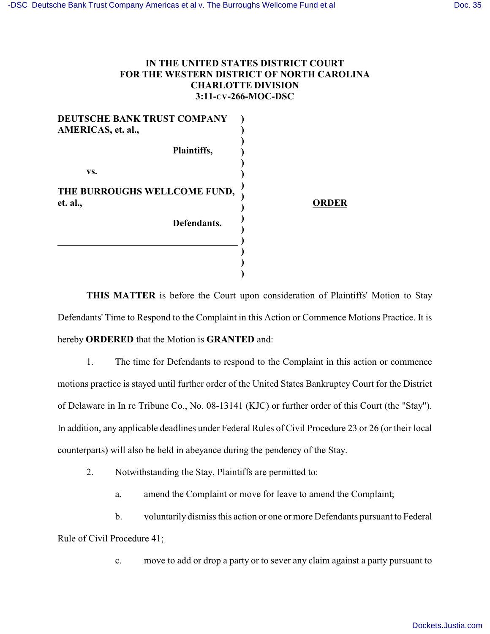## **IN THE UNITED STATES DISTRICT COURT FOR THE WESTERN DISTRICT OF NORTH CAROLINA CHARLOTTE DIVISION 3:11-CV-266-MOC-DSC**

| DEUTSCHE BANK TRUST COMPANY<br>AMERICAS, et. al., |              |
|---------------------------------------------------|--------------|
| Plaintiffs,                                       |              |
| VS.                                               |              |
| THE BURROUGHS WELLCOME FUND,<br>et. al.,          | <b>ORDER</b> |
| Defendants.                                       |              |
|                                                   |              |
|                                                   |              |

**THIS MATTER** is before the Court upon consideration of Plaintiffs' Motion to Stay Defendants' Time to Respond to the Complaint in this Action or Commence Motions Practice. It is hereby **ORDERED** that the Motion is **GRANTED** and:

1. The time for Defendants to respond to the Complaint in this action or commence motions practice is stayed until further order of the United States Bankruptcy Court for the District of Delaware in In re Tribune Co., No. 08-13141 (KJC) or further order of this Court (the "Stay"). In addition, any applicable deadlines under Federal Rules of Civil Procedure 23 or 26 (or their local counterparts) will also be held in abeyance during the pendency of the Stay.

2. Notwithstanding the Stay, Plaintiffs are permitted to:

a. amend the Complaint or move for leave to amend the Complaint;

b. voluntarily dismiss this action or one or more Defendants pursuant to Federal Rule of Civil Procedure 41;

c. move to add or drop a party or to sever any claim against a party pursuant to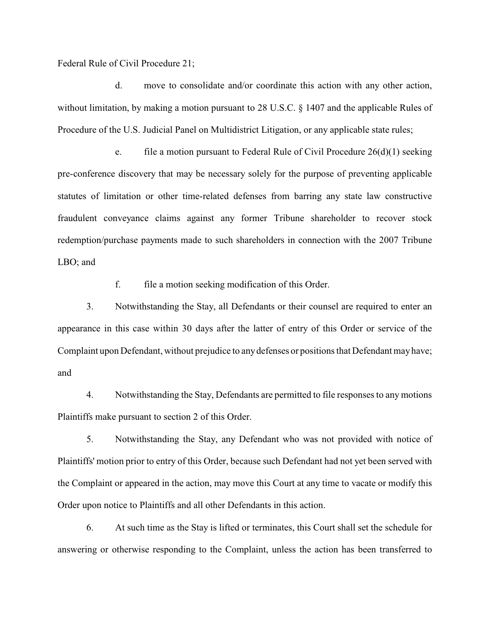Federal Rule of Civil Procedure 21;

d. move to consolidate and/or coordinate this action with any other action, without limitation, by making a motion pursuant to 28 U.S.C. § 1407 and the applicable Rules of Procedure of the U.S. Judicial Panel on Multidistrict Litigation, or any applicable state rules;

e. file a motion pursuant to Federal Rule of Civil Procedure  $26(d)(1)$  seeking pre-conference discovery that may be necessary solely for the purpose of preventing applicable statutes of limitation or other time-related defenses from barring any state law constructive fraudulent conveyance claims against any former Tribune shareholder to recover stock redemption/purchase payments made to such shareholders in connection with the 2007 Tribune LBO; and

f. file a motion seeking modification of this Order.

3. Notwithstanding the Stay, all Defendants or their counsel are required to enter an appearance in this case within 30 days after the latter of entry of this Order or service of the Complaint upon Defendant, without prejudice to anydefenses or positions that Defendant may have; and

4. Notwithstanding the Stay, Defendants are permitted to file responses to any motions Plaintiffs make pursuant to section 2 of this Order.

5. Notwithstanding the Stay, any Defendant who was not provided with notice of Plaintiffs' motion prior to entry of this Order, because such Defendant had not yet been served with the Complaint or appeared in the action, may move this Court at any time to vacate or modify this Order upon notice to Plaintiffs and all other Defendants in this action.

6. At such time as the Stay is lifted or terminates, this Court shall set the schedule for answering or otherwise responding to the Complaint, unless the action has been transferred to